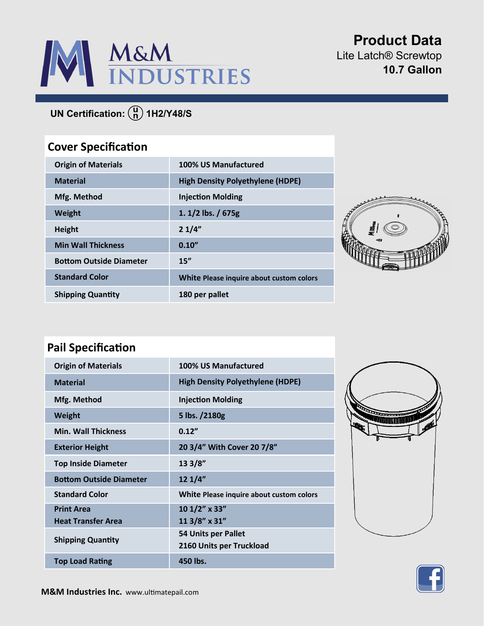

**Product Data** Lite Latch® Screwtop **10.7 Gallon**

# **UN Certification:** (a) 1H2/Y48/S

## **Cover Specification**

| <b>Origin of Materials</b>     | 100% US Manufactured                     |
|--------------------------------|------------------------------------------|
| <b>Material</b>                | <b>High Density Polyethylene (HDPE)</b>  |
| Mfg. Method                    | <b>Injection Molding</b>                 |
| <b>Weight</b>                  | 1. $1/2$ lbs. / 675g                     |
| <b>Height</b>                  | 21/4"                                    |
| <b>Min Wall Thickness</b>      | 0.10''                                   |
| <b>Bottom Outside Diameter</b> | 15''                                     |
| <b>Standard Color</b>          | White Please inquire about custom colors |
| <b>Shipping Quantity</b>       | 180 per pallet                           |



### **Pail Specification**

| <b>Origin of Materials</b>                     | 100% US Manufactured                            |
|------------------------------------------------|-------------------------------------------------|
| <b>Material</b>                                | <b>High Density Polyethylene (HDPE)</b>         |
| Mfg. Method                                    | <b>Injection Molding</b>                        |
| Weight                                         | 5 lbs. /2180g                                   |
| <b>Min. Wall Thickness</b>                     | 0.12''                                          |
| <b>Exterior Height</b>                         | 20 3/4" With Cover 20 7/8"                      |
| <b>Top Inside Diameter</b>                     | 13 3/8"                                         |
| <b>Bottom Outside Diameter</b>                 | 12 1/4"                                         |
| <b>Standard Color</b>                          | White Please inquire about custom colors        |
| <b>Print Area</b><br><b>Heat Transfer Area</b> | 10 1/2" x 33"<br>11 3/8" x 31"                  |
| <b>Shipping Quantity</b>                       | 54 Units per Pallet<br>2160 Units per Truckload |
| <b>Top Load Rating</b>                         | 450 lbs.                                        |